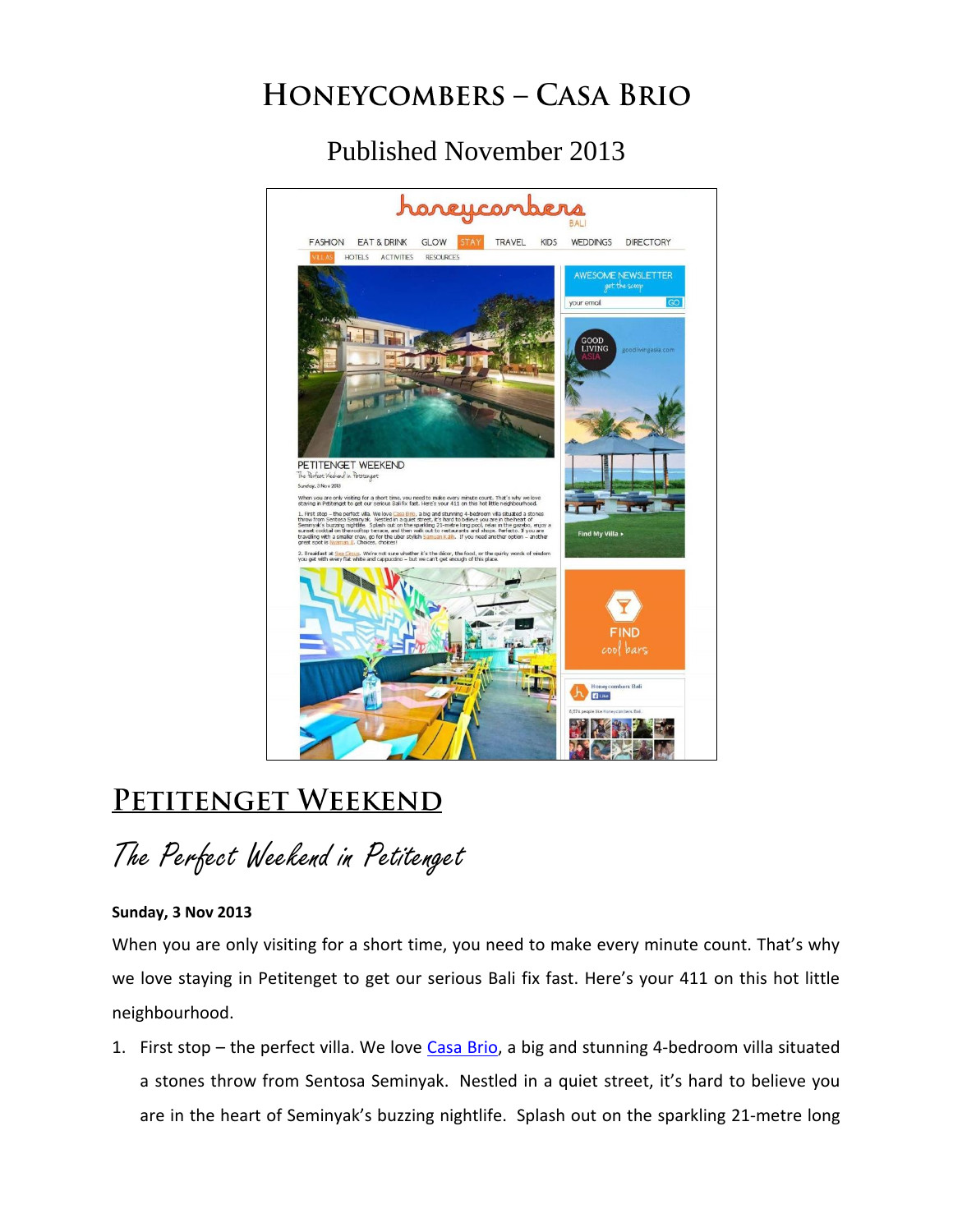## **HONEYCOMBERS - CASA BRIO**

## Published November 2013



## PETITENGET WEEKEND

The Perfect Weekend in Petitenget

## **Sunday, 3 Nov 2013**

When you are only visiting for a short time, you need to make every minute count. That's why we love staying in Petitenget to get our serious Bali fix fast. Here's your 411 on this hot little neighbourhood.

1. First stop – the perfect villa. We love [Casa Brio,](http://casabriobali.com/) a big and stunning 4-bedroom villa situated a stones throw from Sentosa Seminyak. Nestled in a quiet street, it's hard to believe you are in the heart of Seminyak's buzzing nightlife. Splash out on the sparkling 21-metre long